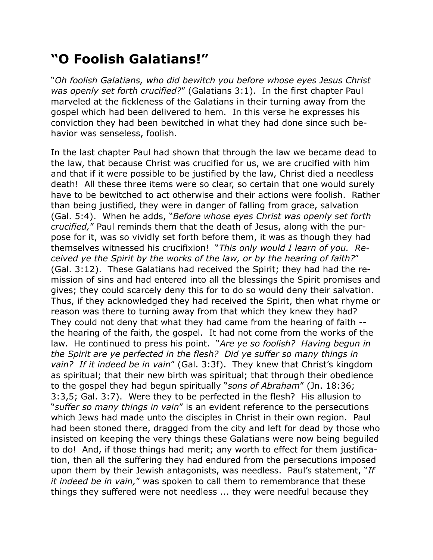## **"O Foolish Galatians!"**

"*Oh foolish Galatians, who did bewitch you before whose eyes Jesus Christ was openly set forth crucified?*" (Galatians 3:1). In the first chapter Paul marveled at the fickleness of the Galatians in their turning away from the gospel which had been delivered to hem. In this verse he expresses his conviction they had been bewitched in what they had done since such behavior was senseless, foolish.

In the last chapter Paul had shown that through the law we became dead to the law, that because Christ was crucified for us, we are crucified with him and that if it were possible to be justified by the law, Christ died a needless death! All these three items were so clear, so certain that one would surely have to be bewitched to act otherwise and their actions were foolish. Rather than being justified, they were in danger of falling from grace, salvation (Gal. 5:4). When he adds, "*Before whose eyes Christ was openly set forth crucified,*" Paul reminds them that the death of Jesus, along with the purpose for it, was so vividly set forth before them, it was as though they had themselves witnessed his crucifixion! "*This only would I learn of you. Received ye the Spirit by the works of the law, or by the hearing of faith?*" (Gal. 3:12). These Galatians had received the Spirit; they had had the remission of sins and had entered into all the blessings the Spirit promises and gives; they could scarcely deny this for to do so would deny their salvation. Thus, if they acknowledged they had received the Spirit, then what rhyme or reason was there to turning away from that which they knew they had? They could not deny that what they had came from the hearing of faith - the hearing of the faith, the gospel. It had not come from the works of the law. He continued to press his point. "*Are ye so foolish? Having begun in the Spirit are ye perfected in the flesh? Did ye suffer so many things in vain? If it indeed be in vain*" (Gal. 3:3f). They knew that Christ's kingdom as spiritual; that their new birth was spiritual; that through their obedience to the gospel they had begun spiritually "*sons of Abraham*" (Jn. 18:36; 3:3,5; Gal. 3:7). Were they to be perfected in the flesh? His allusion to "*suffer so many things in vain*" is an evident reference to the persecutions which Jews had made unto the disciples in Christ in their own region. Paul had been stoned there, dragged from the city and left for dead by those who insisted on keeping the very things these Galatians were now being beguiled to do! And, if those things had merit; any worth to effect for them justification, then all the suffering they had endured from the persecutions imposed upon them by their Jewish antagonists, was needless. Paul's statement, "*If it indeed be in vain,*" was spoken to call them to remembrance that these things they suffered were not needless ... they were needful because they